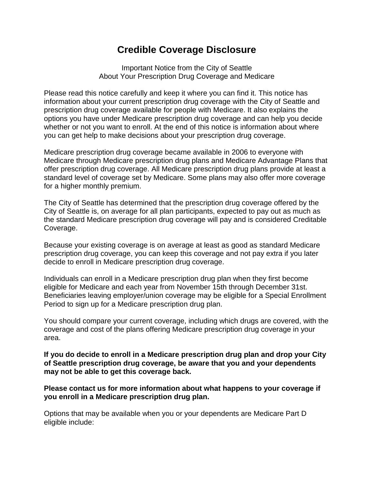## **Credible Coverage Disclosure**

Important Notice from the City of Seattle About Your Prescription Drug Coverage and Medicare

Please read this notice carefully and keep it where you can find it. This notice has information about your current prescription drug coverage with the City of Seattle and prescription drug coverage available for people with Medicare. It also explains the options you have under Medicare prescription drug coverage and can help you decide whether or not you want to enroll. At the end of this notice is information about where you can get help to make decisions about your prescription drug coverage.

Medicare prescription drug coverage became available in 2006 to everyone with Medicare through Medicare prescription drug plans and Medicare Advantage Plans that offer prescription drug coverage. All Medicare prescription drug plans provide at least a standard level of coverage set by Medicare. Some plans may also offer more coverage for a higher monthly premium.

The City of Seattle has determined that the prescription drug coverage offered by the City of Seattle is, on average for all plan participants, expected to pay out as much as the standard Medicare prescription drug coverage will pay and is considered Creditable Coverage.

Because your existing coverage is on average at least as good as standard Medicare prescription drug coverage, you can keep this coverage and not pay extra if you later decide to enroll in Medicare prescription drug coverage.

Individuals can enroll in a Medicare prescription drug plan when they first become eligible for Medicare and each year from November 15th through December 31st. Beneficiaries leaving employer/union coverage may be eligible for a Special Enrollment Period to sign up for a Medicare prescription drug plan.

You should compare your current coverage, including which drugs are covered, with the coverage and cost of the plans offering Medicare prescription drug coverage in your area.

**If you do decide to enroll in a Medicare prescription drug plan and drop your City of Seattle prescription drug coverage, be aware that you and your dependents may not be able to get this coverage back.** 

**Please contact us for more information about what happens to your coverage if you enroll in a Medicare prescription drug plan.**

Options that may be available when you or your dependents are Medicare Part D eligible include: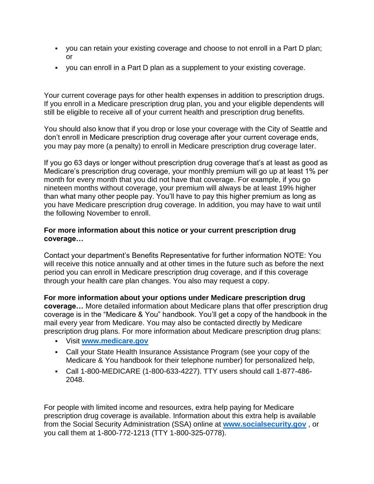- you can retain your existing coverage and choose to not enroll in a Part D plan; or
- you can enroll in a Part D plan as a supplement to your existing coverage.

Your current coverage pays for other health expenses in addition to prescription drugs. If you enroll in a Medicare prescription drug plan, you and your eligible dependents will still be eligible to receive all of your current health and prescription drug benefits.

You should also know that if you drop or lose your coverage with the City of Seattle and don't enroll in Medicare prescription drug coverage after your current coverage ends, you may pay more (a penalty) to enroll in Medicare prescription drug coverage later.

If you go 63 days or longer without prescription drug coverage that's at least as good as Medicare's prescription drug coverage, your monthly premium will go up at least 1% per month for every month that you did not have that coverage. For example, if you go nineteen months without coverage, your premium will always be at least 19% higher than what many other people pay. You'll have to pay this higher premium as long as you have Medicare prescription drug coverage. In addition, you may have to wait until the following November to enroll.

## **For more information about this notice or your current prescription drug coverage…**

Contact your department's Benefits Representative for further information NOTE: You will receive this notice annually and at other times in the future such as before the next period you can enroll in Medicare prescription drug coverage, and if this coverage through your health care plan changes. You also may request a copy.

**For more information about your options under Medicare prescription drug coverage…** More detailed information about Medicare plans that offer prescription drug coverage is in the "Medicare & You" handbook. You'll get a copy of the handbook in the mail every year from Medicare. You may also be contacted directly by Medicare prescription drug plans. For more information about Medicare prescription drug plans:

- Visit **[www.medicare.gov](http://www.medicare.gov/)**
- Call your State Health Insurance Assistance Program (see your copy of the Medicare & You handbook for their telephone number) for personalized help,
- Call 1-800-MEDICARE (1-800-633-4227). TTY users should call 1-877-486- 2048.

For people with limited income and resources, extra help paying for Medicare prescription drug coverage is available. Information about this extra help is available from the Social Security Administration (SSA) online at **[www.socialsecurity.gov](http://www.socialsecurity.gov/)** , or you call them at 1-800-772-1213 (TTY 1-800-325-0778).